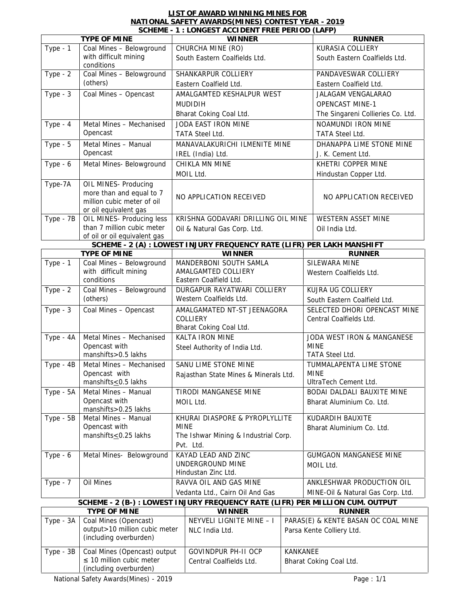## **LIST OF AWARD WINNING MINES FOR NATIONAL SAFETY AWARDS(MINES) CONTEST YEAR - 2019**

| TYPE OF MINE<br>Coal Mines - Belowground<br>with difficult mining<br>conditions<br>Coal Mines - Belowground | <b>WINNER</b><br>CHURCHA MINE (RO)<br>South Eastern Coalfields Ltd.                                                                                                                                                                                                                                                                                                                                                                                                                                                                                                                                                                                                                                                                       |                                                                                                                                                                                                                                                                                                                                                                                                                                                                                                                                                                                                           | <b>RUNNER</b><br>KURASIA COLLIERY<br>South Eastern Coalfields Ltd.                                                                                                                                                                                                                                                                                                                                              |
|-------------------------------------------------------------------------------------------------------------|-------------------------------------------------------------------------------------------------------------------------------------------------------------------------------------------------------------------------------------------------------------------------------------------------------------------------------------------------------------------------------------------------------------------------------------------------------------------------------------------------------------------------------------------------------------------------------------------------------------------------------------------------------------------------------------------------------------------------------------------|-----------------------------------------------------------------------------------------------------------------------------------------------------------------------------------------------------------------------------------------------------------------------------------------------------------------------------------------------------------------------------------------------------------------------------------------------------------------------------------------------------------------------------------------------------------------------------------------------------------|-----------------------------------------------------------------------------------------------------------------------------------------------------------------------------------------------------------------------------------------------------------------------------------------------------------------------------------------------------------------------------------------------------------------|
|                                                                                                             |                                                                                                                                                                                                                                                                                                                                                                                                                                                                                                                                                                                                                                                                                                                                           |                                                                                                                                                                                                                                                                                                                                                                                                                                                                                                                                                                                                           |                                                                                                                                                                                                                                                                                                                                                                                                                 |
|                                                                                                             |                                                                                                                                                                                                                                                                                                                                                                                                                                                                                                                                                                                                                                                                                                                                           |                                                                                                                                                                                                                                                                                                                                                                                                                                                                                                                                                                                                           |                                                                                                                                                                                                                                                                                                                                                                                                                 |
|                                                                                                             |                                                                                                                                                                                                                                                                                                                                                                                                                                                                                                                                                                                                                                                                                                                                           |                                                                                                                                                                                                                                                                                                                                                                                                                                                                                                                                                                                                           |                                                                                                                                                                                                                                                                                                                                                                                                                 |
|                                                                                                             | SHANKARPUR COLLIERY                                                                                                                                                                                                                                                                                                                                                                                                                                                                                                                                                                                                                                                                                                                       |                                                                                                                                                                                                                                                                                                                                                                                                                                                                                                                                                                                                           | PANDAVESWAR COLLIERY                                                                                                                                                                                                                                                                                                                                                                                            |
|                                                                                                             | Eastern Coalfield Ltd.                                                                                                                                                                                                                                                                                                                                                                                                                                                                                                                                                                                                                                                                                                                    |                                                                                                                                                                                                                                                                                                                                                                                                                                                                                                                                                                                                           | Eastern Coalfield Ltd.                                                                                                                                                                                                                                                                                                                                                                                          |
| Coal Mines - Opencast                                                                                       | AMALGAMTED KESHALPUR WEST                                                                                                                                                                                                                                                                                                                                                                                                                                                                                                                                                                                                                                                                                                                 |                                                                                                                                                                                                                                                                                                                                                                                                                                                                                                                                                                                                           | JALAGAM VENGALARAO                                                                                                                                                                                                                                                                                                                                                                                              |
|                                                                                                             |                                                                                                                                                                                                                                                                                                                                                                                                                                                                                                                                                                                                                                                                                                                                           |                                                                                                                                                                                                                                                                                                                                                                                                                                                                                                                                                                                                           | <b>OPENCAST MINE-1</b>                                                                                                                                                                                                                                                                                                                                                                                          |
|                                                                                                             |                                                                                                                                                                                                                                                                                                                                                                                                                                                                                                                                                                                                                                                                                                                                           |                                                                                                                                                                                                                                                                                                                                                                                                                                                                                                                                                                                                           | The Singareni Collieries Co. Ltd.                                                                                                                                                                                                                                                                                                                                                                               |
|                                                                                                             |                                                                                                                                                                                                                                                                                                                                                                                                                                                                                                                                                                                                                                                                                                                                           |                                                                                                                                                                                                                                                                                                                                                                                                                                                                                                                                                                                                           | NOAMUNDI IRON MINE                                                                                                                                                                                                                                                                                                                                                                                              |
|                                                                                                             |                                                                                                                                                                                                                                                                                                                                                                                                                                                                                                                                                                                                                                                                                                                                           |                                                                                                                                                                                                                                                                                                                                                                                                                                                                                                                                                                                                           | TATA Steel Ltd.                                                                                                                                                                                                                                                                                                                                                                                                 |
|                                                                                                             |                                                                                                                                                                                                                                                                                                                                                                                                                                                                                                                                                                                                                                                                                                                                           |                                                                                                                                                                                                                                                                                                                                                                                                                                                                                                                                                                                                           | DHANAPPA LIME STONE MINE                                                                                                                                                                                                                                                                                                                                                                                        |
|                                                                                                             |                                                                                                                                                                                                                                                                                                                                                                                                                                                                                                                                                                                                                                                                                                                                           |                                                                                                                                                                                                                                                                                                                                                                                                                                                                                                                                                                                                           | J. K. Cement Ltd.                                                                                                                                                                                                                                                                                                                                                                                               |
|                                                                                                             |                                                                                                                                                                                                                                                                                                                                                                                                                                                                                                                                                                                                                                                                                                                                           |                                                                                                                                                                                                                                                                                                                                                                                                                                                                                                                                                                                                           | KHETRI COPPER MINE                                                                                                                                                                                                                                                                                                                                                                                              |
|                                                                                                             |                                                                                                                                                                                                                                                                                                                                                                                                                                                                                                                                                                                                                                                                                                                                           |                                                                                                                                                                                                                                                                                                                                                                                                                                                                                                                                                                                                           | Hindustan Copper Ltd.                                                                                                                                                                                                                                                                                                                                                                                           |
|                                                                                                             |                                                                                                                                                                                                                                                                                                                                                                                                                                                                                                                                                                                                                                                                                                                                           |                                                                                                                                                                                                                                                                                                                                                                                                                                                                                                                                                                                                           | NO APPLICATION RECEIVED                                                                                                                                                                                                                                                                                                                                                                                         |
|                                                                                                             |                                                                                                                                                                                                                                                                                                                                                                                                                                                                                                                                                                                                                                                                                                                                           |                                                                                                                                                                                                                                                                                                                                                                                                                                                                                                                                                                                                           | WESTERN ASSET MINE                                                                                                                                                                                                                                                                                                                                                                                              |
|                                                                                                             |                                                                                                                                                                                                                                                                                                                                                                                                                                                                                                                                                                                                                                                                                                                                           |                                                                                                                                                                                                                                                                                                                                                                                                                                                                                                                                                                                                           | Oil India Ltd.                                                                                                                                                                                                                                                                                                                                                                                                  |
|                                                                                                             |                                                                                                                                                                                                                                                                                                                                                                                                                                                                                                                                                                                                                                                                                                                                           |                                                                                                                                                                                                                                                                                                                                                                                                                                                                                                                                                                                                           |                                                                                                                                                                                                                                                                                                                                                                                                                 |
|                                                                                                             | <b>WINNER</b>                                                                                                                                                                                                                                                                                                                                                                                                                                                                                                                                                                                                                                                                                                                             |                                                                                                                                                                                                                                                                                                                                                                                                                                                                                                                                                                                                           | <b>RUNNER</b>                                                                                                                                                                                                                                                                                                                                                                                                   |
|                                                                                                             |                                                                                                                                                                                                                                                                                                                                                                                                                                                                                                                                                                                                                                                                                                                                           |                                                                                                                                                                                                                                                                                                                                                                                                                                                                                                                                                                                                           | SILEWARA MINE<br>Western Coalfields Ltd.                                                                                                                                                                                                                                                                                                                                                                        |
|                                                                                                             |                                                                                                                                                                                                                                                                                                                                                                                                                                                                                                                                                                                                                                                                                                                                           |                                                                                                                                                                                                                                                                                                                                                                                                                                                                                                                                                                                                           | KUJRA UG COLLIERY                                                                                                                                                                                                                                                                                                                                                                                               |
|                                                                                                             |                                                                                                                                                                                                                                                                                                                                                                                                                                                                                                                                                                                                                                                                                                                                           |                                                                                                                                                                                                                                                                                                                                                                                                                                                                                                                                                                                                           | South Eastern Coalfield Ltd.                                                                                                                                                                                                                                                                                                                                                                                    |
|                                                                                                             |                                                                                                                                                                                                                                                                                                                                                                                                                                                                                                                                                                                                                                                                                                                                           |                                                                                                                                                                                                                                                                                                                                                                                                                                                                                                                                                                                                           | SELECTED DHORI OPENCAST MINE<br>Central Coalfields Ltd.                                                                                                                                                                                                                                                                                                                                                         |
| Metal Mines - Mechanised<br><b>KALTA IRON MINE</b>                                                          |                                                                                                                                                                                                                                                                                                                                                                                                                                                                                                                                                                                                                                                                                                                                           | JODA WEST IRON & MANGANESE                                                                                                                                                                                                                                                                                                                                                                                                                                                                                                                                                                                |                                                                                                                                                                                                                                                                                                                                                                                                                 |
|                                                                                                             |                                                                                                                                                                                                                                                                                                                                                                                                                                                                                                                                                                                                                                                                                                                                           |                                                                                                                                                                                                                                                                                                                                                                                                                                                                                                                                                                                                           | <b>MINE</b><br><b>TATA Steel Ltd.</b>                                                                                                                                                                                                                                                                                                                                                                           |
|                                                                                                             |                                                                                                                                                                                                                                                                                                                                                                                                                                                                                                                                                                                                                                                                                                                                           |                                                                                                                                                                                                                                                                                                                                                                                                                                                                                                                                                                                                           | TUMMALAPENTA LIME STONE                                                                                                                                                                                                                                                                                                                                                                                         |
|                                                                                                             |                                                                                                                                                                                                                                                                                                                                                                                                                                                                                                                                                                                                                                                                                                                                           |                                                                                                                                                                                                                                                                                                                                                                                                                                                                                                                                                                                                           | <b>MINE</b><br>UltraTech Cement Ltd.                                                                                                                                                                                                                                                                                                                                                                            |
|                                                                                                             |                                                                                                                                                                                                                                                                                                                                                                                                                                                                                                                                                                                                                                                                                                                                           |                                                                                                                                                                                                                                                                                                                                                                                                                                                                                                                                                                                                           | BODAI DALDALI BAUXITE MINE                                                                                                                                                                                                                                                                                                                                                                                      |
|                                                                                                             |                                                                                                                                                                                                                                                                                                                                                                                                                                                                                                                                                                                                                                                                                                                                           |                                                                                                                                                                                                                                                                                                                                                                                                                                                                                                                                                                                                           | Bharat Aluminium Co. Ltd.                                                                                                                                                                                                                                                                                                                                                                                       |
|                                                                                                             |                                                                                                                                                                                                                                                                                                                                                                                                                                                                                                                                                                                                                                                                                                                                           |                                                                                                                                                                                                                                                                                                                                                                                                                                                                                                                                                                                                           | KUDARDIH BAUXITE                                                                                                                                                                                                                                                                                                                                                                                                |
|                                                                                                             |                                                                                                                                                                                                                                                                                                                                                                                                                                                                                                                                                                                                                                                                                                                                           |                                                                                                                                                                                                                                                                                                                                                                                                                                                                                                                                                                                                           | Bharat Aluminium Co. Ltd.                                                                                                                                                                                                                                                                                                                                                                                       |
|                                                                                                             |                                                                                                                                                                                                                                                                                                                                                                                                                                                                                                                                                                                                                                                                                                                                           |                                                                                                                                                                                                                                                                                                                                                                                                                                                                                                                                                                                                           |                                                                                                                                                                                                                                                                                                                                                                                                                 |
|                                                                                                             |                                                                                                                                                                                                                                                                                                                                                                                                                                                                                                                                                                                                                                                                                                                                           |                                                                                                                                                                                                                                                                                                                                                                                                                                                                                                                                                                                                           |                                                                                                                                                                                                                                                                                                                                                                                                                 |
|                                                                                                             |                                                                                                                                                                                                                                                                                                                                                                                                                                                                                                                                                                                                                                                                                                                                           |                                                                                                                                                                                                                                                                                                                                                                                                                                                                                                                                                                                                           | <b>GUMGAON MANGANESE MINE</b>                                                                                                                                                                                                                                                                                                                                                                                   |
|                                                                                                             |                                                                                                                                                                                                                                                                                                                                                                                                                                                                                                                                                                                                                                                                                                                                           |                                                                                                                                                                                                                                                                                                                                                                                                                                                                                                                                                                                                           | MOIL Ltd.                                                                                                                                                                                                                                                                                                                                                                                                       |
|                                                                                                             |                                                                                                                                                                                                                                                                                                                                                                                                                                                                                                                                                                                                                                                                                                                                           |                                                                                                                                                                                                                                                                                                                                                                                                                                                                                                                                                                                                           |                                                                                                                                                                                                                                                                                                                                                                                                                 |
|                                                                                                             |                                                                                                                                                                                                                                                                                                                                                                                                                                                                                                                                                                                                                                                                                                                                           |                                                                                                                                                                                                                                                                                                                                                                                                                                                                                                                                                                                                           | ANKLESHWAR PRODUCTION OIL                                                                                                                                                                                                                                                                                                                                                                                       |
|                                                                                                             |                                                                                                                                                                                                                                                                                                                                                                                                                                                                                                                                                                                                                                                                                                                                           |                                                                                                                                                                                                                                                                                                                                                                                                                                                                                                                                                                                                           | MINE-Oil & Natural Gas Corp. Ltd.                                                                                                                                                                                                                                                                                                                                                                               |
|                                                                                                             |                                                                                                                                                                                                                                                                                                                                                                                                                                                                                                                                                                                                                                                                                                                                           |                                                                                                                                                                                                                                                                                                                                                                                                                                                                                                                                                                                                           |                                                                                                                                                                                                                                                                                                                                                                                                                 |
| TYPE OF MINE<br>Coal Mines (Opencast)                                                                       | <b>WINNER</b><br>NEYVELI LIGNITE MINE - I                                                                                                                                                                                                                                                                                                                                                                                                                                                                                                                                                                                                                                                                                                 |                                                                                                                                                                                                                                                                                                                                                                                                                                                                                                                                                                                                           | <b>RUNNER</b><br>PARAS(E) & KENTE BASAN OC COAL MINE                                                                                                                                                                                                                                                                                                                                                            |
|                                                                                                             |                                                                                                                                                                                                                                                                                                                                                                                                                                                                                                                                                                                                                                                                                                                                           |                                                                                                                                                                                                                                                                                                                                                                                                                                                                                                                                                                                                           | Parsa Kente Colliery Ltd.                                                                                                                                                                                                                                                                                                                                                                                       |
|                                                                                                             |                                                                                                                                                                                                                                                                                                                                                                                                                                                                                                                                                                                                                                                                                                                                           |                                                                                                                                                                                                                                                                                                                                                                                                                                                                                                                                                                                                           |                                                                                                                                                                                                                                                                                                                                                                                                                 |
| output > 10 million cubic meter                                                                             | NLC India Ltd.                                                                                                                                                                                                                                                                                                                                                                                                                                                                                                                                                                                                                                                                                                                            |                                                                                                                                                                                                                                                                                                                                                                                                                                                                                                                                                                                                           |                                                                                                                                                                                                                                                                                                                                                                                                                 |
| (including overburden)                                                                                      |                                                                                                                                                                                                                                                                                                                                                                                                                                                                                                                                                                                                                                                                                                                                           |                                                                                                                                                                                                                                                                                                                                                                                                                                                                                                                                                                                                           |                                                                                                                                                                                                                                                                                                                                                                                                                 |
| Coal Mines (Opencast) output<br>10 million cubic meter                                                      | <b>GOVINDPUR PH-II OCP</b><br>Central Coalfields Ltd.                                                                                                                                                                                                                                                                                                                                                                                                                                                                                                                                                                                                                                                                                     | KANKANEE                                                                                                                                                                                                                                                                                                                                                                                                                                                                                                                                                                                                  | Bharat Coking Coal Ltd.                                                                                                                                                                                                                                                                                                                                                                                         |
|                                                                                                             | Metal Mines - Mechanised<br>Opencast<br>Metal Mines - Manual<br>Opencast<br>Metal Mines- Belowground<br>OIL MINES- Producing<br>more than and equal to 7<br>million cubic meter of oil<br>or oil equivalent gas<br>OIL MINES- Producing less<br>than 7 million cubic meter<br>of oil or oil equivalent gas<br>TYPE OF MINE<br>Coal Mines - Belowground<br>with difficult mining<br>conditions<br>Coal Mines - Belowground<br>Coal Mines - Opencast<br>Opencast with<br>manshifts>0.5 lakhs<br>Metal Mines - Mechanised<br>Opencast with<br>manshifts<0.5 lakhs<br>Metal Mines - Manual<br>Opencast with<br>manshifts>0.25 lakhs<br>Metal Mines - Manual<br>Opencast with<br>manshifts<0.25 lakhs<br>Metal Mines- Belowground<br>Oil Mines | <b>MUDIDIH</b><br>Bharat Coking Coal Ltd.<br>JODA EAST IRON MINE<br><b>TATA Steel Ltd.</b><br>IREL (India) Ltd.<br>CHIKLA MN MINE<br>MOIL Ltd.<br>NO APPLICATION RECEIVED<br>Oil & Natural Gas Corp. Ltd.<br>MANDERBONI SOUTH SAMLA<br>AMALGAMTED COLLIERY<br>Eastern Coalfield Ltd.<br>Western Coalfields Ltd.<br>COLLIERY<br>Bharat Coking Coal Ltd.<br>Steel Authority of India Ltd.<br>SANU LIME STONE MINE<br>TIRODI MANGANESE MINE<br>MOIL Ltd.<br>MINE<br>Pvt. Ltd.<br>KAYAD LEAD AND ZINC<br>UNDERGROUND MINE<br>Hindustan Zinc Ltd.<br>RAVVA OIL AND GAS MINE<br>Vedanta Ltd., Cairn Oil And Gas | MANAVALAKURICHI ILMENITE MINE<br>KRISHNA GODAVARI DRILLING OIL MINE<br>SCHEME - 2 (A) : LOWEST INJURY FREQUENCY RATE (LIFR) PER LAKH MANSHIFT<br>DURGAPUR RAYATWARI COLLIERY<br>AMALGAMATED NT-ST JEENAGORA<br>Rajasthan State Mines & Minerals Ltd.<br>KHURAI DIASPORE & PYROPLYLLITE<br>The Ishwar Mining & Industrial Corp.<br>SCHEME - 2 (B-) : LOWEST INJURY FREQUENCY RATE (LIFR) PER MILLION CUM. OUTPUT |